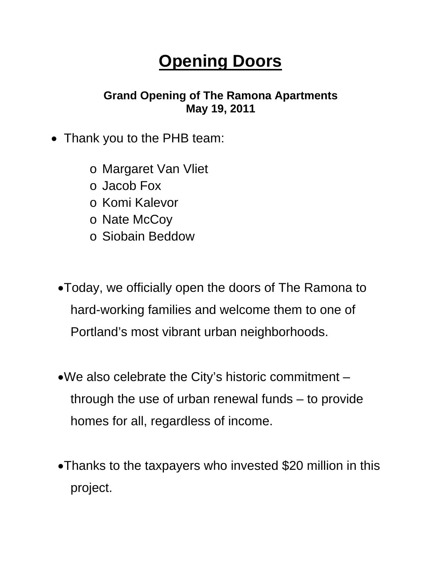## **Opening Doors**

## **Grand Opening of The Ramona Apartments May 19, 2011**

- Thank you to the PHB team:
	- o Margaret Van Vliet
	- o Jacob Fox
	- o Komi Kalevor
	- o Nate McCoy
	- o Siobain Beddow
	- •Today, we officially open the doors of The Ramona to hard-working families and welcome them to one of Portland's most vibrant urban neighborhoods.
	- •We also celebrate the City's historic commitment through the use of urban renewal funds – to provide homes for all, regardless of income.
	- •Thanks to the taxpayers who invested \$20 million in this project.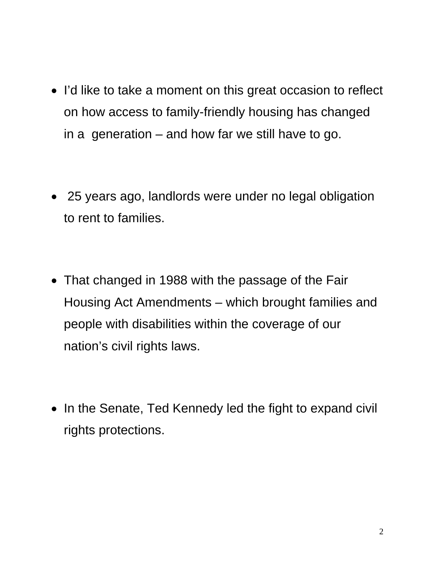- I'd like to take a moment on this great occasion to reflect on how access to family-friendly housing has changed in a generation  $-$  and how far we still have to go.
- 25 years ago, landlords were under no legal obligation to rent to families.
- That changed in 1988 with the passage of the Fair Housing Act Amendments – which brought families and people with disabilities within the coverage of our nation's civil rights laws.
- In the Senate, Ted Kennedy led the fight to expand civil rights protections.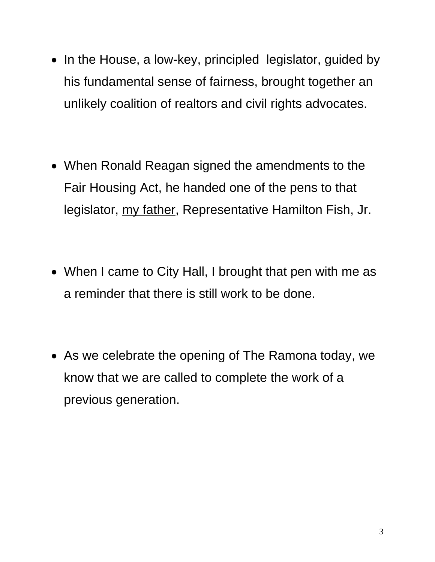- In the House, a low-key, principled legislator, guided by his fundamental sense of fairness, brought together an unlikely coalition of realtors and civil rights advocates.
- When Ronald Reagan signed the amendments to the Fair Housing Act, he handed one of the pens to that legislator, my father, Representative Hamilton Fish, Jr.
- When I came to City Hall, I brought that pen with me as a reminder that there is still work to be done.
- As we celebrate the opening of The Ramona today, we know that we are called to complete the work of a previous generation.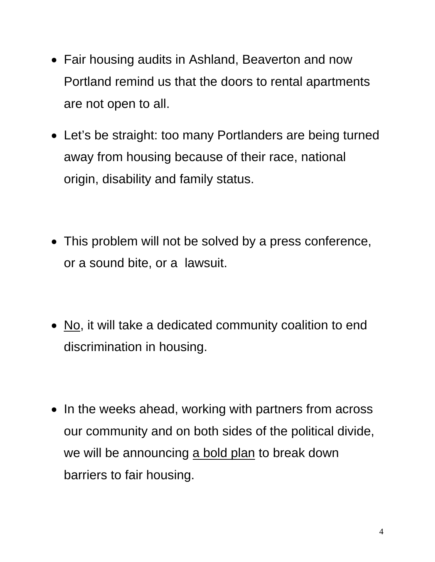- Fair housing audits in Ashland, Beaverton and now Portland remind us that the doors to rental apartments are not open to all.
- Let's be straight: too many Portlanders are being turned away from housing because of their race, national origin, disability and family status.
- This problem will not be solved by a press conference, or a sound bite, or a lawsuit.
- No, it will take a dedicated community coalition to end discrimination in housing.
- In the weeks ahead, working with partners from across our community and on both sides of the political divide, we will be announcing a bold plan to break down barriers to fair housing.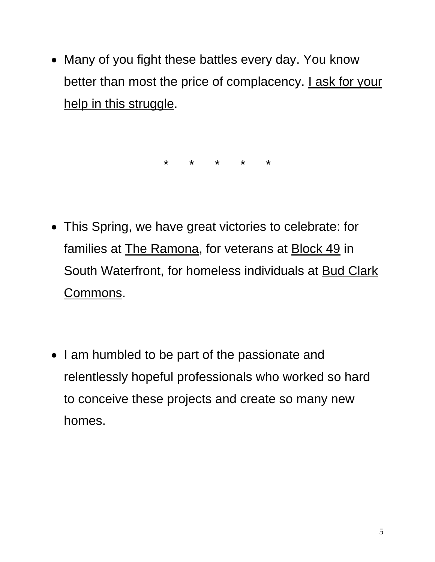• Many of you fight these battles every day. You know better than most the price of complacency. *I ask for your* help in this struggle.

\* \* \* \* \*

- This Spring, we have great victories to celebrate: for families at The Ramona, for veterans at Block 49 in South Waterfront, for homeless individuals at Bud Clark Commons.
- I am humbled to be part of the passionate and relentlessly hopeful professionals who worked so hard to conceive these projects and create so many new homes.